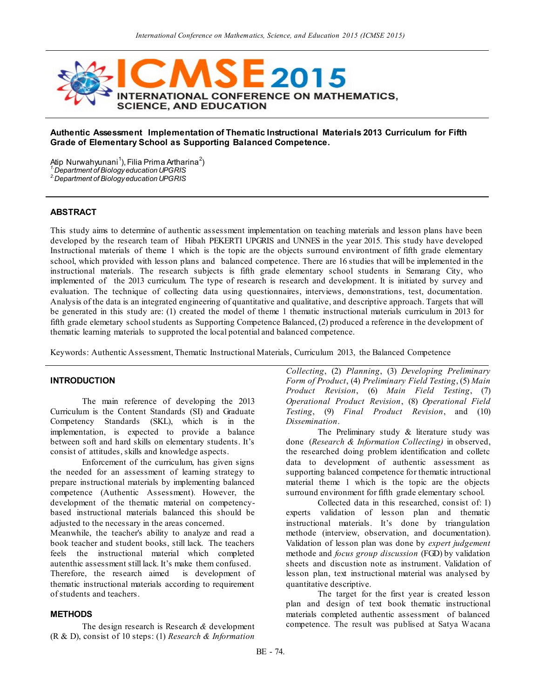

# **Authentic Assessment Implementation of Thematic Instructional Materials 2013 Curriculum for Fifth Grade of Elementary School as Supporting Balanced Competence.**

Atip Nurwahyunani<sup>1</sup>), Filia Prima Artharina<sup>2</sup>) *1.Department of Biology education UPGRIS*

*2.Department of Biology education UPGRIS*

# **ABSTRACT**

This study aims to determine of authentic assessment implementation on teaching materials and lesson plans have been developed by the research team of Hibah PEKERTI UPGRIS and UNNES in the year 2015. This study have developed Instructional materials of theme 1 which is the topic are the objects surround environtment of fifth grade elementary school, which provided with lesson plans and balanced competence. There are 16 studies that will be implemented in the instructional materials. The research subjects is fifth grade elementary school students in Semarang City, who implemented of the 2013 curriculum. The type of research is research and development. It is initiated by survey and evaluation. The technique of collecting data using questionnaires, interviews, demonstrations, test, documentation. Analysis of the data is an integrated engineering of quantitative and qualitative, and descriptive approach. Targets that will be generated in this study are: (1) created the model of theme 1 thematic instructional materials curriculum in 2013 for fifth grade elemetary school students as Supporting Competence Balanced, (2) produced a reference in the development of thematic learning materials to supproted the local potential and balanced competence.

Keywords: Authentic Assessment, Thematic Instructional Materials, Curriculum 2013, the Balanced Competence

#### **INTRODUCTION**

The main reference of developing the 2013 Curriculum is the Content Standards (SI) and Graduate Competency Standards (SKL), which is in the implementation, is expected to provide a balance between soft and hard skills on elementary students. It's consist of attitudes, skills and knowledge aspects.

Enforcement of the curriculum, has given signs the needed for an assessment of learning strategy to prepare instructional materials by implementing balanced competence (Authentic Assessment). However, the development of the thematic material on competencybased instructional materials balanced this should be adjusted to the necessary in the areas concerned.

Meanwhile, the teacher's ability to analyze and read a book teacher and student books, still lack. The teachers feels the instructional material which completed autenthic assessment still lack. It's make them confused. Therefore, the research aimed is development of thematic instructional materials according to requirement of students and teachers.

#### **METHODS**

The design research is Research *&* development (R & D), consist of 10 steps: (1) *Research & Information*  *Collecting*, (2) *Planning*, (3) *Developing Preliminary Form of Product*, (4) *Preliminary Field Testing*, (5) *Main Product Revision*, (6) *Main Field Testing*, (7) *Operational Product Revision*, (8) *Operational Field Testing*, (9) *Final Product Revision*, and (10) *Dissemination*.

The Preliminary study & literature study was done (*Research & Information Collecting)* in observed, the researched doing problem identification and colletc data to development of authentic assessment as supporting balanced competence for thematic intructional material theme 1 which is the topic are the objects surround environment for fifth grade elementary school.

Collected data in this researched, consist of: 1) experts validation of lesson plan and thematic instructional materials. It's done by triangulation methode (interview, observation, and documentation). Validation of lesson plan was done by *expert judgement* methode and *focus group discussion* (FGD) by validation sheets and discustion note as instrument. Validation of lesson plan, text instructional material was analysed by quantitative descriptive.

The target for the first year is created lesson plan and design of text book thematic instructional materials completed authentic assessment of balanced competence. The result was publised at Satya Wacana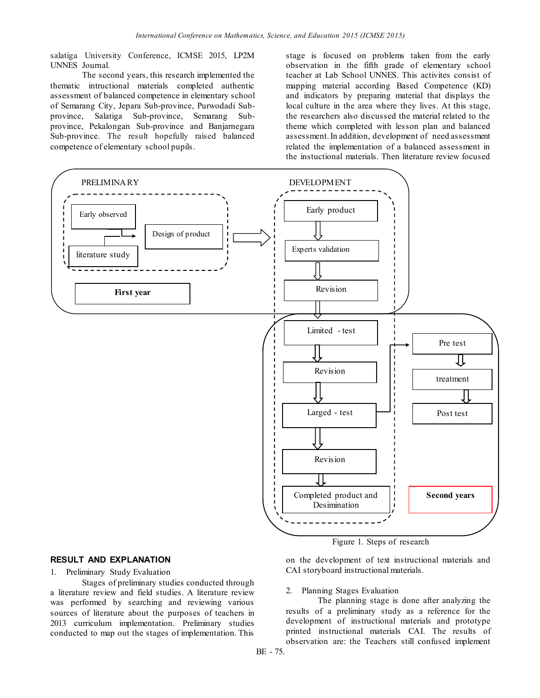salatiga University Conference, ICMSE 2015, LP2M UNNES Journal.

The second years, this research implemented the thematic intructional materials completed authentic assessment of balanced competence in elementary school of Semarang City, Jepara Sub-province, Purwodadi Subprovince, Salatiga Sub-province, Semarang Subprovince, Pekalongan Sub-province and Banjarnegara Sub-province. The result hopefully raised balanced competence of elementary school pupils.

stage is focused on problems taken from the early observation in the fifth grade of elementary school teacher at Lab School UNNES. This activites consist of mapping material according Based Competence (KD) and indicators by preparing material that displays the local culture in the area where they lives. At this stage, the researchers also discussed the material related to the theme which completed with lesson plan and balanced assessment. In addition, development of need assessment related the implementation of a balanced assessment in the instuctional materials. Then literature review focused



Figure 1. Steps of research

# **RESULT AND EXPLANATION**

1. Preliminary Study Evaluation

Stages of preliminary studies conducted through a literature review and field studies. A literature review was performed by searching and reviewing various sources of literature about the purposes of teachers in 2013 curriculum implementation. Preliminary studies conducted to map out the stages of implementation. This

on the development of text instructional materials and CAI storyboard instructional materials.

# 2. Planning Stages Evaluation

The planning stage is done after analyzing the results of a preliminary study as a reference for the development of instructional materials and prototype printed instructional materials CAI. The results of observation are: the Teachers still confused implement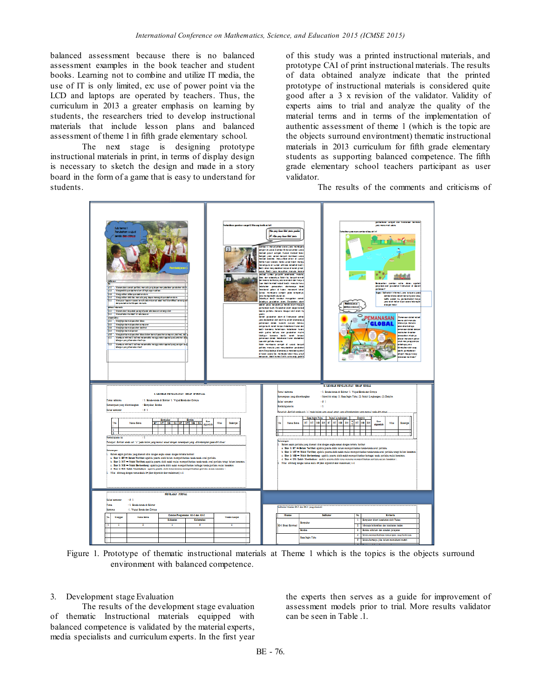balanced assessment because there is no balanced assessment examples in the book teacher and student books. Learning not to combine and utilize IT media, the use of IT is only limited, ex: use of power point via the LCD and laptops are operated by teachers. Thus, the curriculum in 2013 a greater emphasis on learning by students, the researchers tried to develop instructional materials that include lesson plans and balanced assessment of theme 1 in fifth grade elementary school.

The next stage is designing prototype instructional materials in print, in terms of display design is necessary to sketch the design and made in a story board in the form of a game that is easy to understand for students.

of this study was a printed instructional materials, and prototype CAI of print instructional materials. The results of data obtained analyze indicate that the printed prototype of instructional materials is considered quite good after a 3 x revision of the validator. Validity of experts aims to trial and analyze the quality of the material terms and in terms of the implementation of authentic assessment of theme 1 (which is the topic are the objects surround environtment) thematic instructional materials in 2013 curriculum for fifth grade elementary students as supporting balanced competence. The fifth grade elementary school teachers participant as user validator.

The results of the comments and criticisms of



Figure 1. Prototype of thematic instructional materials at Theme 1 which is the topics is the objects surround environment with balanced competence.

# 3. Development stage Evaluation

The results of the development stage evaluation of thematic Instructional materials equipped with balanced competence is validated by the material experts, media specialists and curriculum experts. In the first year the experts then serves as a guide for improvement of assessment models prior to trial. More results validator can be seen in Table .1.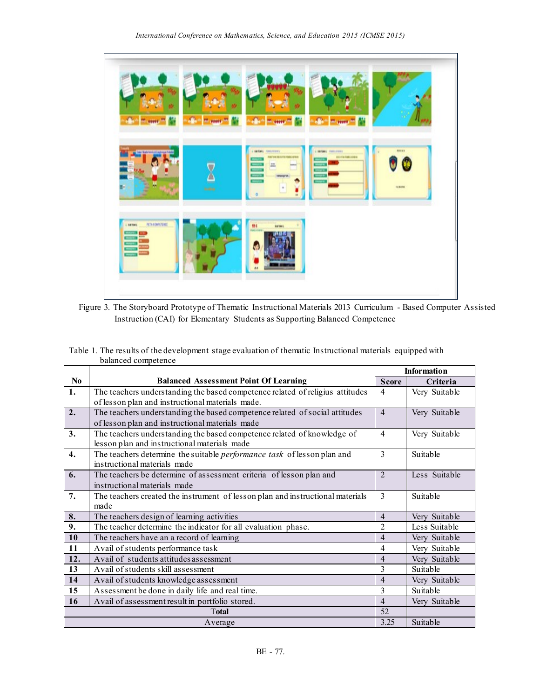

Figure 3. The Storyboard Prototype of Thematic Instructional Materials 2013 Curriculum - Based Computer Assisted Instruction (CAI) for Elementary Students as Supporting Balanced Competence

| Table 1. The results of the development stage evaluation of the matic Instructional materials equipped with |  |  |
|-------------------------------------------------------------------------------------------------------------|--|--|
| balanced competence                                                                                         |  |  |

|                  |                                                                                | <b>Information</b>       |               |
|------------------|--------------------------------------------------------------------------------|--------------------------|---------------|
| N <sub>0</sub>   | <b>Balanced Assessment Point Of Learning</b>                                   | <b>Score</b>             | Criteria      |
| 1.               | The teachers understanding the based competence related of religius attitudes  | $\overline{4}$           | Very Suitable |
|                  | of lesson plan and instructional materials made.                               |                          |               |
| $\overline{2}$ . | The teachers understanding the based competence related of social attitudes    | $\overline{4}$           | Very Suitable |
|                  | of lesson plan and instructional materials made                                |                          |               |
| 3.               | The teachers understanding the based competence related of knowledge of        | $\overline{4}$           | Very Suitable |
|                  | lesson plan and instructional materials made                                   |                          |               |
| $\overline{4}$ . | The teachers determine the suitable performance task of lesson plan and        | 3                        | Suitable      |
|                  | instructional materials made                                                   |                          |               |
| 6.               | The teachers be determine of assessment criteria of lesson plan and            | $\mathfrak{D}$           | Less Suitable |
|                  | instructional materials made                                                   |                          |               |
| 7.               | The teachers created the instrument of lesson plan and instructional materials | $\overline{\mathcal{E}}$ | Suitable      |
|                  | made                                                                           |                          |               |
| 8.               | The teachers design of learning activities                                     | $\overline{4}$           | Very Suitable |
| 9.               | The teacher determine the indicator for all evaluation phase.                  | $\overline{2}$           | Less Suitable |
| 10               | The teachers have an a record of learning                                      | $\overline{4}$           | Very Suitable |
| 11               | Avail of students performance task                                             | $\overline{4}$           | Very Suitable |
| 12.              | Avail of students attitudes assessment                                         | $\overline{4}$           | Very Suitable |
| 13               | Avail of students skill assessment                                             | 3                        | Suitable      |
| 14               | Avail of students knowledge assessment                                         | $\overline{4}$           | Very Suitable |
| 15               | Assessment be done in daily life and real time.                                | 3                        | Suitable      |
| 16               | Avail of assessment result in portfolio stored.                                | $\overline{4}$           | Very Suitable |
| <b>Total</b>     |                                                                                | 52                       |               |
| Average          |                                                                                | 3.25                     | Suitable      |